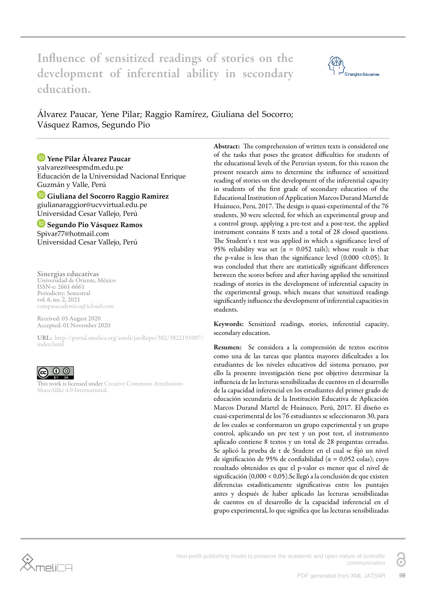Influence of sensitized readings of stories on the development of inferential ability in secondary education.



Álvarez Paucar, Yene Pilar; Raggio Ramírez, Giuliana del Socorro; Vásquez Ramos, Segundo Pio

# **Yene Pilar Álvarez Paucar**

yalvarez@eespmdm.edu.pe Educación de la Universidad Nacional Enrique Guzmán y Valle, Perú

**Giuliana del Socorro Raggio Ramírez**  giulianaraggior@ucvvirtual.edu.pe Universidad Cesar Vallejo, Perú

**Segundo Pio Vásquez Ramos**  Spivar77@hotmail.com Universidad Cesar Vallejo, Perú

Sinergias educativas Universidad de Oriente, México ISSN-e: 2661-6661 Periodicity: Semestral vol. 6, no. 2, 2021 compasacademico@icloud.com

Received: 03 August 2020 Accepted: 01 November 2020

URL: [http://portal.amelica.org/ameli/jatsRepo/382/3822191007/](http://portal.amelica.org/ameli/jatsRepo/382/3822191007/index.html) [index.html](http://portal.amelica.org/ameli/jatsRepo/382/3822191007/index.html)



This work is licensed under [Creative Commons Attribution-](https://creativecommons.org/licenses/by-sa/4.0/)[ShareAlike 4.0 International.](https://creativecommons.org/licenses/by-sa/4.0/)

Abstract: The comprehension of written texts is considered one of the tasks that poses the greatest difficulties for students of the educational levels of the Peruvian system, for this reason the present research aims to determine the influence of sensitized reading of stories on the development of the inferential capacity in students of the first grade of secondary education of the Educational Institution of Application Marcos Durand Martel de Huánuco, Peru, 2017. The design is quasi-experimental of the 76 students, 30 were selected, for which an experimental group and a control group, applying a pre-test and a post-test, the applied instrument contains 8 texts and a total of 28 closed questions. The Student's t test was applied in which a significance level of 95% reliability was set ( $\alpha = 0.052$  tails); whose result is that the p-value is less than the significance level (0.000 <0.05). It was concluded that there are statistically significant differences between the scores before and after having applied the sensitized readings of stories in the development of inferential capacity in the experimental group, which means that sensitized readings significantly influence the development of inferential capacities in students.

Keywords: Sensitized readings, stories, inferential capacity, secondary education.

Resumen: Se considera a la comprensión de textos escritos como una de las tareas que plantea mayores dificultades a los estudiantes de los niveles educativos del sistema peruano, por ello la presente investigación tiene por objetivo determinar la influencia de las lecturas sensibilizadas de cuentos en el desarrollo de la capacidad inferencial en los estudiantes del primer grado de educación secundaria de la Institución Educativa de Aplicación Marcos Durand Martel de Huánuco, Perú, 2017. El diseño es cuasi-experimental de los 76 estudiantes se seleccionaron 30, para de los cuales se conformaron un grupo experimental y un grupo control, aplicando un pre test y un post test, el instrumento aplicado contiene 8 textos y un total de 28 preguntas cerradas. Se aplicó la prueba de t de Student en el cual se fijó un nivel de significación de 95% de confiabilidad ( $\alpha = 0.052$  colas); cuyo resultado obtenidos es que el p-valor es menor que el nivel de significación (0,000 < 0,05).Se llegó a la conclusión de que existen diferencias estadísticamente significativas entre los puntajes antes y después de haber aplicado las lecturas sensibilizadas de cuentos en el desarrollo de la capacidad inferencial en el grupo experimental, lo que significa que las lecturas sensibilizadas



Non-profit publishing model to preserve the academic and open nature of scientific communication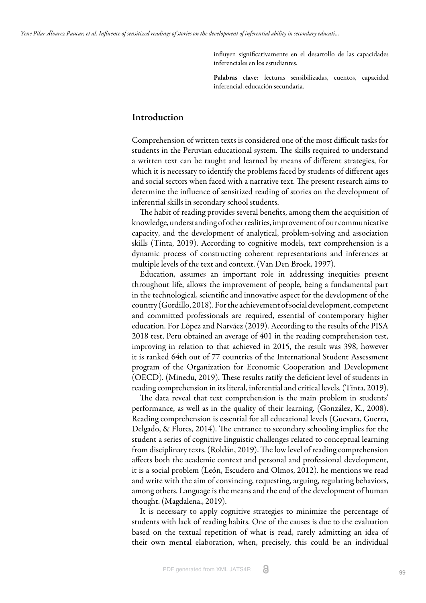influyen significativamente en el desarrollo de las capacidades inferenciales en los estudiantes.

Palabras clave: lecturas sensibilizadas, cuentos, capacidad inferencial, educación secundaria.

## Introduction

Comprehension of written texts is considered one of the most difficult tasks for students in the Peruvian educational system. The skills required to understand a written text can be taught and learned by means of different strategies, for which it is necessary to identify the problems faced by students of different ages and social sectors when faced with a narrative text. The present research aims to determine the influence of sensitized reading of stories on the development of inferential skills in secondary school students.

The habit of reading provides several benefits, among them the acquisition of knowledge, understanding of other realities, improvement of our communicative capacity, and the development of analytical, problem-solving and association skills [\(Tinta, 2019\).](#page-10-0) According to cognitive models, text comprehension is a dynamic process of constructing coherent representations and inferences at multiple levels of the text and context. [\(Van Den Broek, 1997\)](#page-10-1).

Education, assumes an important role in addressing inequities present throughout life, allows the improvement of people, being a fundamental part in the technological, scientific and innovative aspect for the development of the country [\(Gordillo, 2018\)](#page-8-0). For the achievement of social development, competent and committed professionals are required, essential of contemporary higher education. For [López and Narváez \(2019\).](#page-9-0) According to the results of the PISA 2018 test, Peru obtained an average of 401 in the reading comprehension test, improving in relation to that achieved in 2015, the result was 398, however it is ranked 64th out of 77 countries of the International Student Assessment program of the Organization for Economic Cooperation and Development (OECD). [\(Minedu, 2019\).](#page-9-1) These results ratify the deficient level of students in reading comprehension in its literal, inferential and critical levels[. \(Tinta, 2019\)](#page-10-0).

The data reveal that text comprehension is the main problem in students' performance, as well as in the quality of their learning. [\(González, K., 2008\)](#page-8-1). Reading comprehension is essential for all educational levels [\(Guevara, Guerra,](#page-8-2) [Delgado, & Flores, 2014\).](#page-8-2) The entrance to secondary schooling implies for the student a series of cognitive linguistic challenges related to conceptual learning from disciplinary texts. [\(Roldán, 2019\)](#page-10-2). The low level of reading comprehension affects both the academic context and personal and professional development, it is a social problem [\(León, Escudero and Olmos, 2012\).](#page-9-2) he mentions we read and write with the aim of convincing, requesting, arguing, regulating behaviors, among others. Language is the means and the end of the development of human thought. [\(Magdalena., 2019\).](#page-9-3)

It is necessary to apply cognitive strategies to minimize the percentage of students with lack of reading habits. One of the causes is due to the evaluation based on the textual repetition of what is read, rarely admitting an idea of their own mental elaboration, when, precisely, this could be an individual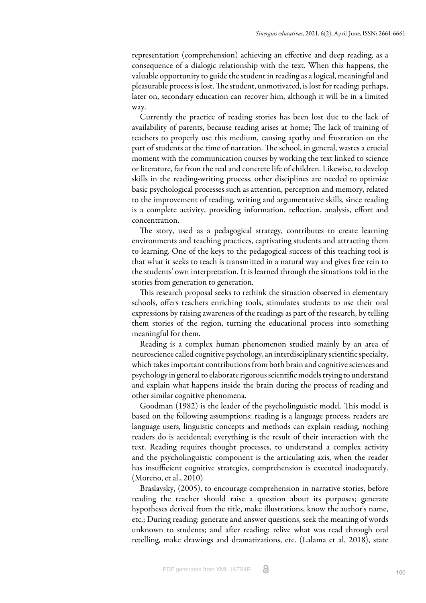representation (comprehension) achieving an effective and deep reading, as a consequence of a dialogic relationship with the text. When this happens, the valuable opportunity to guide the student in reading as a logical, meaningful and pleasurable process is lost. The student, unmotivated, is lost for reading; perhaps, later on, secondary education can recover him, although it will be in a limited way.

Currently the practice of reading stories has been lost due to the lack of availability of parents, because reading arises at home; The lack of training of teachers to properly use this medium, causing apathy and frustration on the part of students at the time of narration. The school, in general, wastes a crucial moment with the communication courses by working the text linked to science or literature, far from the real and concrete life of children. Likewise, to develop skills in the reading-writing process, other disciplines are needed to optimize basic psychological processes such as attention, perception and memory, related to the improvement of reading, writing and argumentative skills, since reading is a complete activity, providing information, reflection, analysis, effort and concentration.

The story, used as a pedagogical strategy, contributes to create learning environments and teaching practices, captivating students and attracting them to learning. One of the keys to the pedagogical success of this teaching tool is that what it seeks to teach is transmitted in a natural way and gives free rein to the students' own interpretation. It is learned through the situations told in the stories from generation to generation.

This research proposal seeks to rethink the situation observed in elementary schools, offers teachers enriching tools, stimulates students to use their oral expressions by raising awareness of the readings as part of the research, by telling them stories of the region, turning the educational process into something meaningful for them.

Reading is a complex human phenomenon studied mainly by an area of neuroscience called cognitive psychology, an interdisciplinary scientific specialty, which takes important contributions from both brain and cognitive sciences and psychology in general to elaborate rigorous scientific models trying to understand and explain what happens inside the brain during the process of reading and other similar cognitive phenomena.

[Goodman \(1982\)](#page-8-3) is the leader of the psycholinguistic model. This model is based on the following assumptions: reading is a language process, readers are language users, linguistic concepts and methods can explain reading, nothing readers do is accidental; everything is the result of their interaction with the text. Reading requires thought processes, to understand a complex activity and the psycholinguistic component is the articulating axis, when the reader has insufficient cognitive strategies, comprehension is executed inadequately. [\(Moreno, et al., 2010\)](#page-9-4)

[Braslavsky, \(2005\)](#page-8-4), to encourage comprehension in narrative stories, before reading the teacher should raise a question about its purposes; generate hypotheses derived from the title, make illustrations, know the author's name, etc.; During reading: generate and answer questions, seek the meaning of words unknown to students; and after reading: relive what was read through oral retelling, make drawings and dramatizations, etc. [\(Lalama et al, 2018\),](#page-9-5) state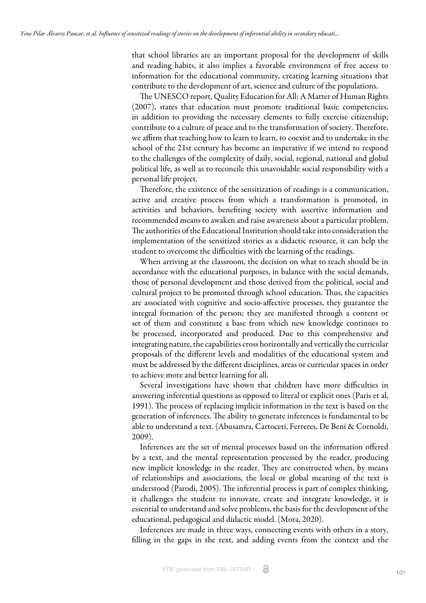that school libraries are an important proposal for the development of skills and reading habits, it also implies a favorable environment of free access to information for the educational community, creating learning situations that contribute to the development of art, science and culture of the populations.

The UNESCO report, Quality Education for All: A Matter of Human Rights (2007), states that education must promote traditional basic competencies, in addition to providing the necessary elements to fully exercise citizenship; contribute to a culture of peace and to the transformation of society. Therefore, we affirm that teaching how to learn to learn, to coexist and to undertake in the school of the 21st century has become an imperative if we intend to respond to the challenges of the complexity of daily, social, regional, national and global political life, as well as to reconcile this unavoidable social responsibility with a personal life project.

Therefore, the existence of the sensitization of readings is a communication, active and creative process from which a transformation is promoted, in activities and behaviors, benefiting society with assertive information and recommended means to awaken and raise awareness about a particular problem. The authorities of the Educational Institution should take into consideration the implementation of the sensitized stories as a didactic resource, it can help the student to overcome the difficulties with the learning of the readings.

When arriving at the classroom, the decision on what to teach should be in accordance with the educational purposes, in balance with the social demands, those of personal development and those derived from the political, social and cultural project to be promoted through school education. Thus, the capacities are associated with cognitive and socio-affective processes, they guarantee the integral formation of the person; they are manifested through a content or set of them and constitute a base from which new knowledge continues to be processed, incorporated and produced. Due to this comprehensive and integrating nature, the capabilities cross horizontally and vertically the curricular proposals of the different levels and modalities of the educational system and must be addressed by the different disciplines, areas or curricular spaces in order to achieve more and better learning for all.

Several investigations have shown that children have more difficulties in answering inferential questions as opposed to literal or explicit ones [\(Paris et al,](#page-9-6) [1991\).](#page-9-6) The process of replacing implicit information in the text is based on the generation of inferences. The ability to generate inferences is fundamental to be able to understand a text. [\(Abusamra, Cartoceti, Ferreres, De Beni & Cornoldi,](#page-8-5) [2009\).](#page-8-5)

Inferences are the set of mental processes based on the information offered by a text, and the mental representation processed by the reader, producing new implicit knowledge in the reader. They are constructed when, by means of relationships and associations, the local or global meaning of the text is understood [\(Parodi, 2005\)](#page-9-7). The inferential process is part of complex thinking, it challenges the student to innovate, create and integrate knowledge, it is essential to understand and solve problems, the basis for the development of the educational, pedagogical and didactic model. [\(Mora, 2020\).](#page-9-8)

Inferences are made in three ways, connecting events with others in a story, filling in the gaps in the text, and adding events from the context and the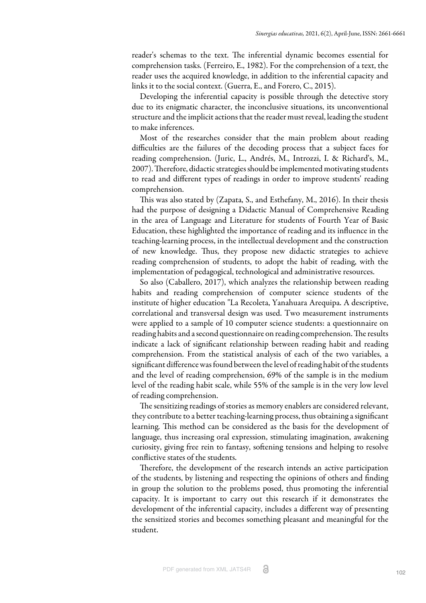reader's schemas to the text. The inferential dynamic becomes essential for comprehension tasks. [\(Ferreiro, E., 1982\)](#page-10-3). For the comprehension of a text, the reader uses the acquired knowledge, in addition to the inferential capacity and links it to the social context. [\(Guerra, E., and Forero, C., 2015\)](#page-8-6).

Developing the inferential capacity is possible through the detective story due to its enigmatic character, the inconclusive situations, its unconventional structure and the implicit actions that the reader must reveal, leading the student to make inferences.

Most of the researches consider that the main problem about reading difficulties are the failures of the decoding process that a subject faces for reading comprehension. [\(Juric, L., Andrés, M., Introzzi, I. & Richard's, M.,](#page-9-9) [2007\).](#page-9-9) Therefore, didactic strategies should be implemented motivating students to read and different types of readings in order to improve students' reading comprehension.

This was also stated b[y \(Zapata, S., and Esthefany, M., 2016\).](#page-10-4) In their thesis had the purpose of designing a Didactic Manual of Comprehensive Reading in the area of Language and Literature for students of Fourth Year of Basic Education, these highlighted the importance of reading and its influence in the teaching-learning process, in the intellectual development and the construction of new knowledge. Thus, they propose new didactic strategies to achieve reading comprehension of students, to adopt the habit of reading, with the implementation of pedagogical, technological and administrative resources.

So also [\(Caballero, 2017\)](#page-8-7), which analyzes the relationship between reading habits and reading comprehension of computer science students of the institute of higher education "La Recoleta, Yanahuara Arequipa. A descriptive, correlational and transversal design was used. Two measurement instruments were applied to a sample of 10 computer science students: a questionnaire on reading habits and a second questionnaire on reading comprehension. The results indicate a lack of significant relationship between reading habit and reading comprehension. From the statistical analysis of each of the two variables, a significant difference was found between the level of reading habit of the students and the level of reading comprehension, 69% of the sample is in the medium level of the reading habit scale, while 55% of the sample is in the very low level of reading comprehension.

The sensitizing readings of stories as memory enablers are considered relevant, they contribute to a better teaching-learning process, thus obtaining a significant learning. This method can be considered as the basis for the development of language, thus increasing oral expression, stimulating imagination, awakening curiosity, giving free rein to fantasy, softening tensions and helping to resolve conflictive states of the students.

Therefore, the development of the research intends an active participation of the students, by listening and respecting the opinions of others and finding in group the solution to the problems posed, thus promoting the inferential capacity. It is important to carry out this research if it demonstrates the development of the inferential capacity, includes a different way of presenting the sensitized stories and becomes something pleasant and meaningful for the student.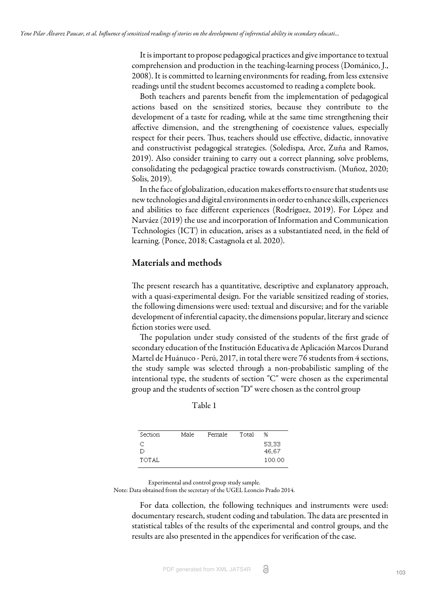It is important to propose pedagogical practices and give importance to textual comprehension and production in the teaching-learning process [\(Dománico, J.,](#page-8-8) [2008\).](#page-8-8) It is committed to learning environments for reading, from less extensive readings until the student becomes accustomed to reading a complete book.

Both teachers and parents benefit from the implementation of pedagogical actions based on the sensitized stories, because they contribute to the development of a taste for reading, while at the same time strengthening their affective dimension, and the strengthening of coexistence values, especially respect for their peers. Thus, teachers should use effective, didactic, innovative and constructivist pedagogical strategies. [\(Soledispa, Arce, Zuña and Ramos,](#page-10-5) [2019\).](#page-10-5) Also consider training to carry out a correct planning, solve problems, consolidating the pedagogical practice towards constructivism. ([Muñoz, 2020;](#page-9-10) [Solis, 2019\)](#page-10-6).

In the face of globalization, education makes efforts to ensure that students use new technologies and digital environments in order to enhance skills, experiences and abilities to face different experiences [\(Rodríguez, 2019\)](#page-10-7). Fo[r López and](#page-9-0) [Narváez \(2019\)](#page-9-0) the use and incorporation of Information and Communication Technologies (ICT) in education, arises as a substantiated need, in the field of learning. [\(Ponce, 2018](#page-9-11); [Castagnola et al. 2020](#page-8-9)).

## Materials and methods

The present research has a quantitative, descriptive and explanatory approach, with a quasi-experimental design. For the variable sensitized reading of stories, the following dimensions were used: textual and discursive; and for the variable development of inferential capacity, the dimensions popular, literary and science fiction stories were used.

The population under study consisted of the students of the first grade of secondary education of the Institución Educativa de Aplicación Marcos Durand Martel de Huánuco - Perú, 2017, in total there were 76 students from 4 sections, the study sample was selected through a non-probabilistic sampling of the intentional type, the students of section "C" were chosen as the experimental group and the students of section "D" were chosen as the control group

 $\overline{\mathcal{L}}$ 

53,33

| Male | Female | Total |
|------|--------|-------|

Table 1

Section

 $\subset$ 

|       | 46,67  |
|-------|--------|
| TOTAL | 100.00 |
|       |        |

Experimental and control group study sample. Note: Data obtained from the secretary of the UGEL Leoncio Prado 2014.

For data collection, the following techniques and instruments were used: documentary research, student coding and tabulation. The data are presented in statistical tables of the results of the experimental and control groups, and the results are also presented in the appendices for verification of the case.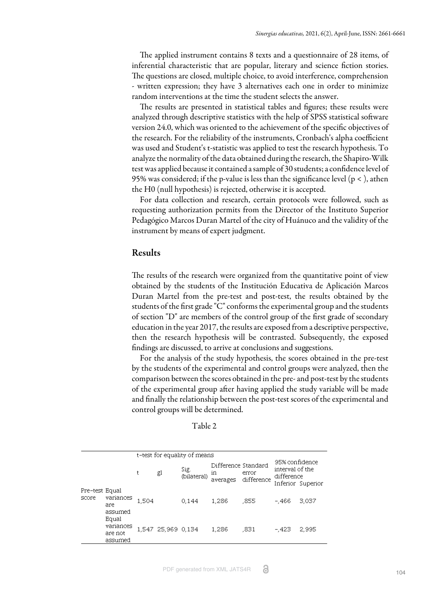The applied instrument contains 8 texts and a questionnaire of 28 items, of inferential characteristic that are popular, literary and science fiction stories. The questions are closed, multiple choice, to avoid interference, comprehension - written expression; they have 3 alternatives each one in order to minimize random interventions at the time the student selects the answer.

The results are presented in statistical tables and figures; these results were analyzed through descriptive statistics with the help of SPSS statistical software version 24.0, which was oriented to the achievement of the specific objectives of the research. For the reliability of the instruments, Cronbach's alpha coefficient was used and Student's t-statistic was applied to test the research hypothesis. To analyze the normality of the data obtained during the research, the Shapiro-Wilk test was applied because it contained a sample of 30 students; a confidence level of 95% was considered; if the p-value is less than the significance level (p < ), athen the H0 (null hypothesis) is rejected, otherwise it is accepted.

For data collection and research, certain protocols were followed, such as requesting authorization permits from the Director of the Instituto Superior Pedagógico Marcos Duran Martel of the city of Huánuco and the validity of the instrument by means of expert judgment.

### Results

The results of the research were organized from the quantitative point of view obtained by the students of the Institución Educativa de Aplicación Marcos Duran Martel from the pre-test and post-test, the results obtained by the students of the first grade "C" conforms the experimental group and the students of section "D" are members of the control group of the first grade of secondary education in the year 2017, the results are exposed from a descriptive perspective, then the research hypothesis will be contrasted. Subsequently, the exposed findings are discussed, to arrive at conclusions and suggestions.

For the analysis of the study hypothesis, the scores obtained in the pre-test by the students of the experimental and control groups were analyzed, then the comparison between the scores obtained in the pre- and post-test by the students of the experimental group after having applied the study variable will be made and finally the relationship between the post-test scores of the experimental and control groups will be determined.

| abie |  |
|------|--|
|------|--|

|                         |                                          | t-test for equality of means |                    |                     |                                      |                     |                                                 |                   |
|-------------------------|------------------------------------------|------------------------------|--------------------|---------------------|--------------------------------------|---------------------|-------------------------------------------------|-------------------|
|                         |                                          | t                            | gl                 | Sig.<br>(bilateral) | Difference Standard<br>m<br>averages | error<br>difference | 95% confidence<br>interval of the<br>difference | Inferior Superior |
| Pre-test Equal<br>score | variances<br>are<br>assumed              | 1.504                        |                    | 0.144               | 1.286                                | .855                | $-.466$                                         | 3,037             |
|                         | Equal<br>variances<br>are not<br>assumed |                              | 1,547 25,969 0,134 |                     | 1.286                                | ,831                | $-.423$                                         | 2.995             |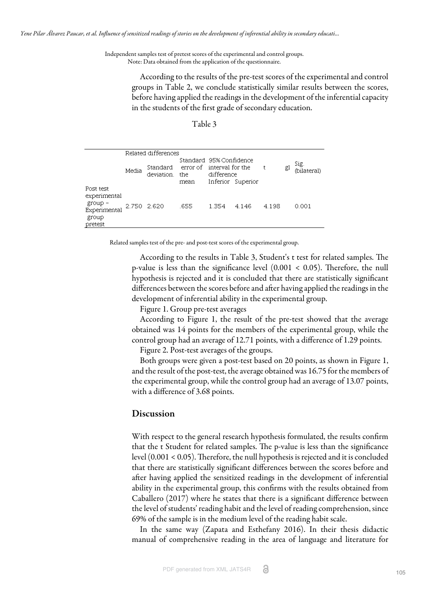Independent samples test of pretest scores of the experimental and control groups. Note: Data obtained from the application of the questionnaire.

> According to the results of the pre-test scores of the experimental and control groups in Table 2, we conclude statistically similar results between the scores, before having applied the readings in the development of the inferential capacity in the students of the first grade of secondary education.

#### Table 3

|                                                                          | Related differences |                            |                                                              |            |                   |       |    |                     |
|--------------------------------------------------------------------------|---------------------|----------------------------|--------------------------------------------------------------|------------|-------------------|-------|----|---------------------|
|                                                                          | Media               | Standard<br>deviation, the | Standard 95% Confidence<br>error of interval for the<br>mean | difference | Inferior Superior | t     | gl | Sig.<br>(bilateral) |
| Post test<br>experimental<br>group -<br>Experimental<br>group<br>pretest | 2.750 2.620         |                            | .655                                                         | 1.354      | 4.146             | 4.198 |    | 0.001               |

Related samples test of the pre- and post-test scores of the experimental group.

According to the results in Table 3, Student's t test for related samples. The p-value is less than the significance level  $(0.001 < 0.05)$ . Therefore, the null hypothesis is rejected and it is concluded that there are statistically significant differences between the scores before and after having applied the readings in the development of inferential ability in the experimental group.

Figure 1. Group pre-test averages

According to Figure 1, the result of the pre-test showed that the average obtained was 14 points for the members of the experimental group, while the control group had an average of 12.71 points, with a difference of 1.29 points.

Figure 2. Post-test averages of the groups.

Both groups were given a post-test based on 20 points, as shown in Figure 1, and the result of the post-test, the average obtained was 16.75 for the members of the experimental group, while the control group had an average of 13.07 points, with a difference of 3.68 points.

#### Discussion

With respect to the general research hypothesis formulated, the results confirm that the t Student for related samples. The p-value is less than the significance level  $(0.001 < 0.05)$ . Therefore, the null hypothesis is rejected and it is concluded that there are statistically significant differences between the scores before and after having applied the sensitized readings in the development of inferential ability in the experimental group, this confirms with the results obtained from [Caballero \(2017\) w](#page-8-7)here he states that there is a significant difference between the level of students' reading habit and the level of reading comprehension, since 69% of the sample is in the medium level of the reading habit scale.

In the same wa[y \(Zapata and Esthefany 2016\)](#page-10-4). In their thesis didactic manual of comprehensive reading in the area of language and literature for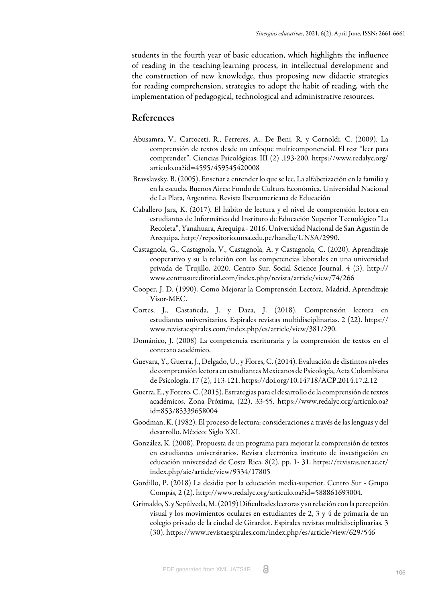students in the fourth year of basic education, which highlights the influence of reading in the teaching-learning process, in intellectual development and the construction of new knowledge, thus proposing new didactic strategies for reading comprehension, strategies to adopt the habit of reading, with the implementation of pedagogical, technological and administrative resources.

## References

- <span id="page-8-5"></span>Abusamra, V., Cartoceti, R., Ferreres, A., De Beni, R. y Cornoldi, C. (2009). La comprensión de textos desde un enfoque multicomponencial. El test "leer para comprender". Ciencias Psicológicas, III (2) ,193-200. https://www.redalyc.org/ articulo.oa?id=4595/459545420008
- <span id="page-8-4"></span>Bravslavsky, B. (2005). Enseñar a entender lo que se lee. La alfabetización en la familia y en la escuela. Buenos Aires: Fondo de Cultura Económica. Universidad Nacional de La Plata, Argentina. Revista Iberoamericana de Educación
- <span id="page-8-7"></span>Caballero Jara, K. (2017). El hábito de lectura y el nivel de comprensión lectora en estudiantes de Informática del Instituto de Educación Superior Tecnológico "La Recoleta", Yanahuara, Arequipa - 2016. Universidad Nacional de San Agustín de Arequipa. http://repositorio.unsa.edu.pe/handle/UNSA/2990.
- <span id="page-8-9"></span>Castagnola, G., Castagnola, V., Castagnola, A. y Castagnola, C. (2020). Aprendizaje cooperativo y su la relación con las competencias laborales en una universidad privada de Trujillo, 2020. Centro Sur. Social Science Journal. 4 (3). http:// www.centrosureditorial.com/index.php/revista/article/view/74/266
- Cooper, J. D. (1990). Como Mejorar la Comprensión Lectora. Madrid, Aprendizaje Visor-MEC.
- Cortes, J., Castañeda, J. y Daza, J. (2018). Comprensión lectora en estudiantes universitarios. Espirales revistas multidisciplinarias. 2 (22). https:// www.revistaespirales.com/index.php/es/article/view/381/290.
- <span id="page-8-8"></span>Dománico, J. (2008) La competencia escrituraria y la comprensión de textos en el contexto académico.
- <span id="page-8-2"></span>Guevara, Y., Guerra, J., Delgado, U., y Flores, C. (2014). Evaluación de distintos niveles de comprensión lectora en estudiantes Mexicanos de Psicología, Acta Colombiana de Psicología. 17 (2), 113-121. https://doi.org/10.14718/ACP.2014.17.2.12
- <span id="page-8-6"></span>Guerra, E., y Forero, C. (2015). Estrategias para el desarrollo de la comprensión de textos académicos. Zona Próxima, (22), 33-55. https://www.redalyc.org/articulo.oa? id=853/85339658004
- <span id="page-8-3"></span>Goodman, K. (1982). El proceso de lectura: consideraciones a través de las lenguas y del desarrollo. México: Siglo XXI.
- <span id="page-8-1"></span>González, K. (2008). Propuesta de un programa para mejorar la comprensión de textos en estudiantes universitarios. Revista electrónica instituto de investigación en educación universidad de Costa Rica. 8(2). pp. 1- 31. https://revistas.ucr.ac.cr/ index.php/aie/article/view/9334/17805
- <span id="page-8-0"></span>Gordillo, P. (2018) La desidia por la educación media-superior. Centro Sur - Grupo Compás, 2 (2). http://www.redalyc.org/articulo.oa?id=588861693004.
- Grimaldo, S. y Sepúlveda, M. (2019) Dificultades lectoras y su relación con la percepción visual y los movimientos oculares en estudiantes de 2, 3 y 4 de primaria de un colegio privado de la ciudad de Girardot. Espirales revistas multidisciplinarias. 3 (30). https://www.revistaespirales.com/index.php/es/article/view/629/546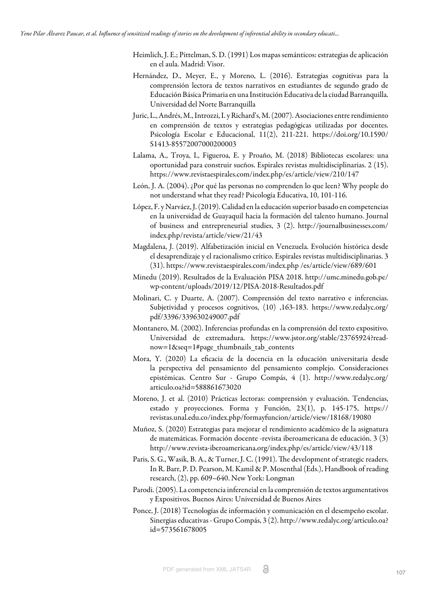- Heimlich, J. E.; Pittelman, S. D. (1991) Los mapas semánticos: estrategias de aplicación en el aula. Madrid: Visor.
- Hernández, D., Meyer, E., y Moreno, L. (2016). Estrategias cognitivas para la comprensión lectora de textos narrativos en estudiantes de segundo grado de Educación Básica Primaria en una Institución Educativa de la ciudad Barranquilla. Universidad del Norte Barranquilla
- <span id="page-9-9"></span>Juric, L., Andrés, M., Introzzi, I. y Richard's, M. (2007). Asociaciones entre rendimiento en comprensión de textos y estrategias pedagógicas utilizadas por docentes. Psicología Escolar e Educacional, 11(2), 211-221. https://doi.org/10.1590/ S1413-85572007000200003
- <span id="page-9-5"></span>Lalama, A., Troya, I., Figueroa, E. y Proaño, M. (2018) Bibliotecas escolares: una oportunidad para construir sueños. Espirales revistas multidisciplinarias. 2 (15). https://www.revistaespirales.com/index.php/es/article/view/210/147
- <span id="page-9-2"></span>León, J. A. (2004). ¿Por qué las personas no comprenden lo que leen? Why people do not understand what they read? Psicología Educativa, 10, 101-116.
- <span id="page-9-0"></span>López, F. y Narváez, J. (2019). Calidad en la educación superior basado en competencias en la universidad de Guayaquil hacia la formación del talento humano. Journal of business and entrepreneurial studies, 3 (2). http://journalbusinesses.com/ index.php/revista/article/view/21/43
- <span id="page-9-3"></span>Magdalena, J. (2019). Alfabetización inicial en Venezuela. Evolución histórica desde el desaprendizaje y el racionalismo crítico. Espirales revistas multidisciplinarias. 3 (31). https://www.revistaespirales.com/index.php /es/article/view/689/601
- <span id="page-9-1"></span>Minedu (2019). Resultados de la Evaluación PISA 2018. http://umc.minedu.gob.pe/ wp-content/uploads/2019/12/PISA-2018-Resultados.pdf
- Molinari, C. y Duarte, A. (2007). Comprensión del texto narrativo e inferencias. Subjetividad y procesos cognitivos, (10) ,163-183. https://www.redalyc.org/ pdf/3396/339630249007.pdf
- Montanero, M. (2002). Inferencias profundas en la comprensión del texto expositivo. Universidad de extremadura. https://www.jstor.org/stable/23765924?readnow=1&seq=1#page\_thumbnails\_tab\_contents
- <span id="page-9-8"></span>Mora, Y. (2020) La eficacia de la docencia en la educación universitaria desde la perspectiva del pensamiento del pensamiento complejo. Consideraciones epistémicas. Centro Sur - Grupo Compás, 4 (1). http://www.redalyc.org/ articulo.oa?id=588861673020
- <span id="page-9-4"></span>Moreno, J. et al. (2010) Prácticas lectoras: comprensión y evaluación. Tendencias, estado y proyecciones. Forma y Función, 23(1), p. 145-175, https:// revistas.unal.edu.co/index.php/formayfuncion/article/view/18168/19080
- <span id="page-9-10"></span>Muñoz, S. (2020) Estrategias para mejorar el rendimiento académico de la asignatura de matemáticas. Formación docente -revista iberoamericana de educación. 3 (3) http://www.revista-iberoamericana.org/index.php/es/article/view/43/118
- <span id="page-9-6"></span>Paris, S. G., Wasik, B. A., & Turner, J. C. (1991). The development of strategic readers. In R. Barr, P. D. Pearson, M. Kamil & P. Mosenthal (Eds.), Handbook of reading research, (2), pp. 609–640. New York: Longman
- <span id="page-9-7"></span>Parodi. (2005). La competencia inferencial en la comprensión de textos argumentativos y Expositivos. Buenos Aires: Universidad de Buenos Aires
- <span id="page-9-11"></span>Ponce, J. (2018) Tecnologías de información y comunicación en el desempeño escolar. Sinergias educativas - Grupo Compás, 3 (2). http://www.redalyc.org/articulo.oa? id=573561678005